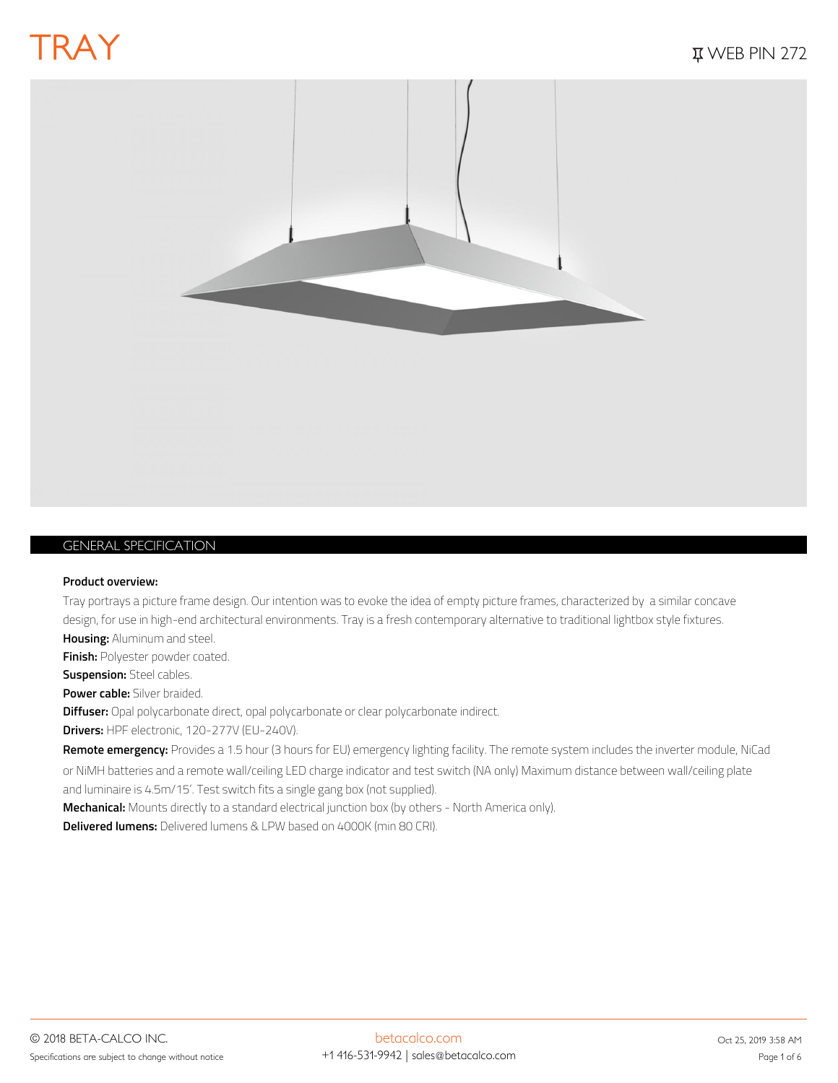

## *GENERAL SPECIFICATION*

#### **Product overview:**

Tray portrays a picture frame design. Our intention was to evoke the idea of empty picture frames, characterized by a similar concave design, for use in high-end architectural environments. Tray is a fresh contemporary alternative to traditional lightbox style fixtures. **Housing:** Aluminum and steel.

**Finish:** Polyester powder coated.

**Suspension:** Steel cables.

**Power cable:** Silver braided.

**Diffuser:** Opal polycarbonate direct, opal polycarbonate or clear polycarbonate indirect.

**Drivers:** HPF electronic, 120-277V (EU-240V).

**Remote emergency:** Provides a 1.5 hour (3 hours for EU) emergency lighting facility. The remote system includes the inverter module, NiCad or NiMH batteries and a remote wall/ceiling LED charge indicator and test switch (NA only) Maximum distance between wall/ceiling plate and luminaire is 4.5m/15'. Test switch fits a single gang box (not supplied).

**Mechanical:** Mounts directly to a standard electrical junction box (by others - North America only).

**Delivered lumens:** Delivered lumens & LPW based on 4000K (min 80 CRI).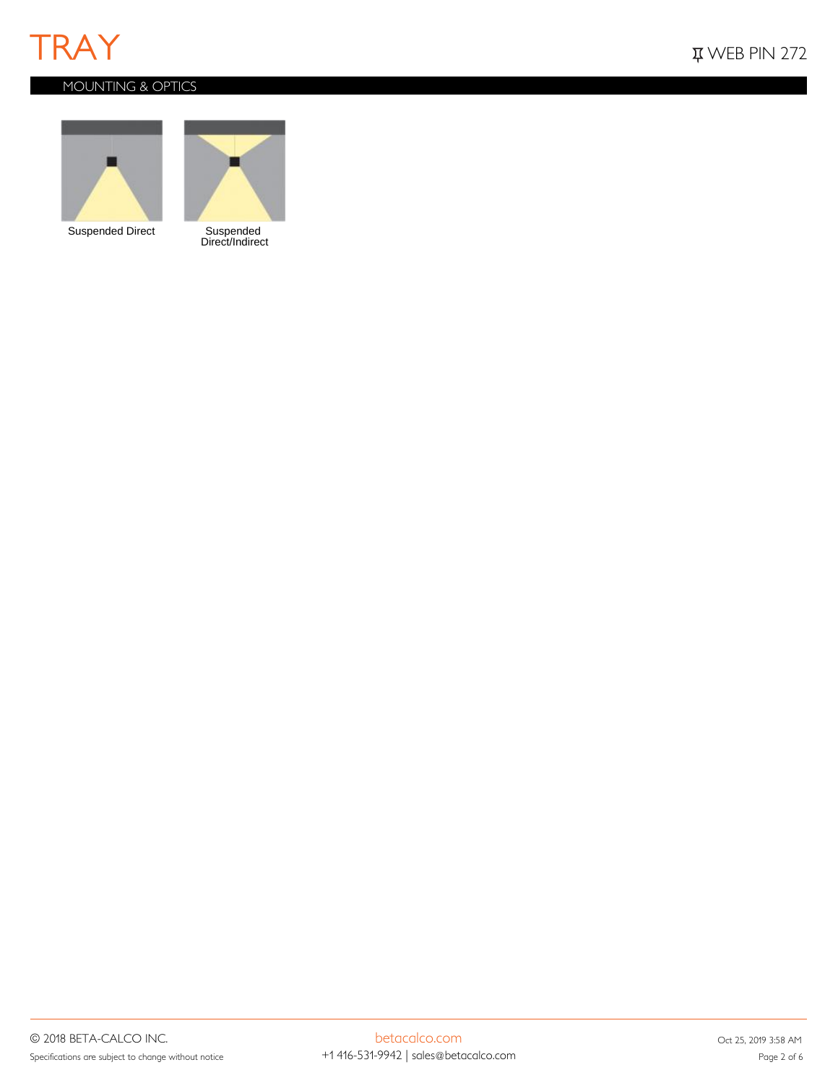

## *MOUNTING & OPTICS*



Suspended Direct



Suspended<br>Direct/Indirect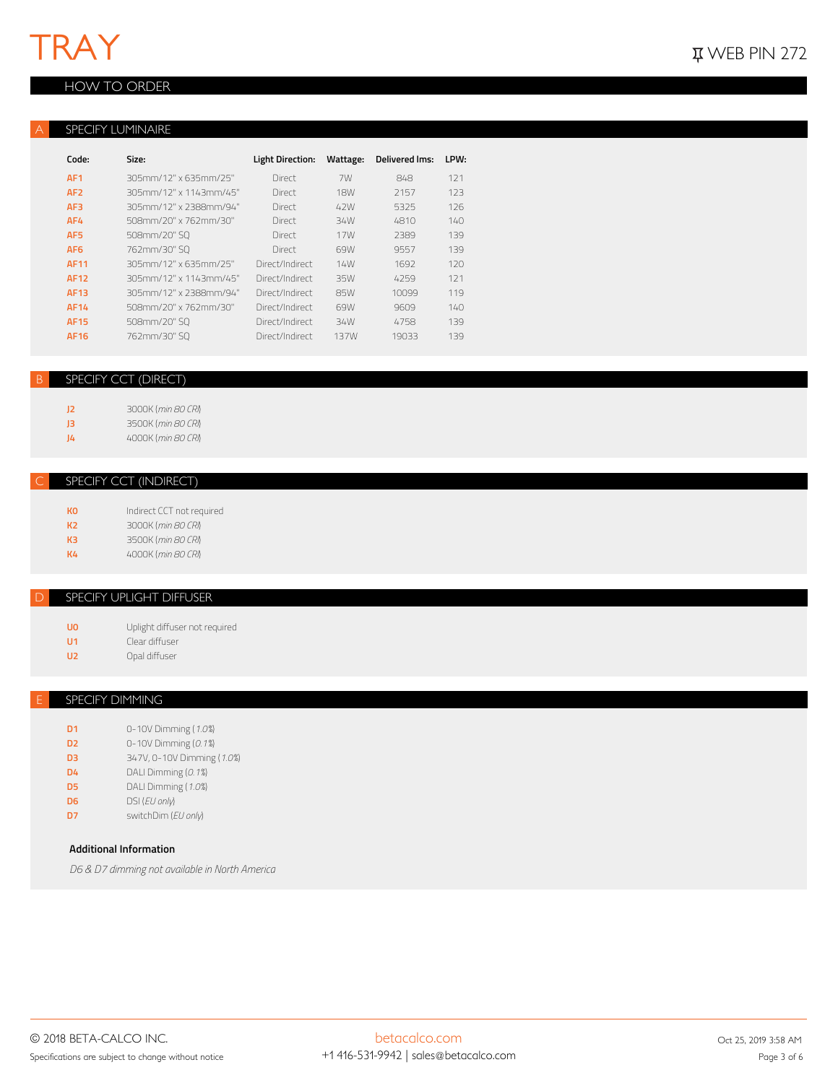## *HOW TO ORDER*

### *A SPECIFY LUMINAIRE*

| Code:           | Size:                  | Light Direction: | Wattage:   | <b>Delivered Ims:</b> | LPW: |
|-----------------|------------------------|------------------|------------|-----------------------|------|
| AF <sub>1</sub> | 305mm/12" x 635mm/25"  | Direct           | 7W         | 848                   | 121  |
| AF <sub>2</sub> | 305mm/12" x 1143mm/45" | Direct           | <b>18W</b> | 2157                  | 123  |
| AF3             | 305mm/12" x 2388mm/94" | Direct           | 42W        | 5325                  | 126  |
| AF4             | 508mm/20" x 762mm/30"  | Direct           | 34W        | 4810                  | 140  |
| AF <sub>5</sub> | 508mm/20" SQ           | Direct           | 17W        | 2389                  | 139  |
| AF <sub>6</sub> | 762mm/30" SO           | Direct           | 69W        | 9557                  | 139  |
| <b>AF11</b>     | 305mm/12" x 635mm/25"  | Direct/Indirect  | 14W        | 1692                  | 120  |
| <b>AF12</b>     | 305mm/12" x 1143mm/45" | Direct/Indirect  | 35W        | 4259                  | 121  |
| AF13            | 305mm/12" x 2388mm/94" | Direct/Indirect  | 85W        | 10099                 | 119  |
| AF14            | 508mm/20" x 762mm/30"  | Direct/Indirect  | 69W        | 9609                  | 140  |
| <b>AF15</b>     | 508mm/20" SQ           | Direct/Indirect  | 34W        | 4758                  | 139  |
| AF16            | 762mm/30" SO           | Direct/Indirect  | 137W       | 19033                 | 139  |

## *B SPECIFY CCT (DIRECT)*

**J2** 3000K (*min 80 CRI*) **J3** 3500K (*min 80 CRI*) **J4** 4000K (*min 80 CRI*)

### *C SPECIFY CCT (INDIRECT)*

| кo | Indirect CCT not required |
|----|---------------------------|
| K2 | 3000K (min 80 CRI)        |
| KЗ | 3500K (min 80 CRI)        |
| K4 | 4000K (min 80 CR)         |
|    |                           |

### *D SPECIFY UPLIGHT DIFFUSER*

**U0** Uplight diffuser not required

- **U1** Clear diffuser
- **U2** Opal diffuser

## *E SPECIFY DIMMING*

**D1** 0-10V Dimming (*1.0%*) **D2** 0-10V Dimming (*0.1%*) **D3** 347V, 0-10V Dimming (*1.0%*) **D4** DALI Dimming (*0.1%*) **D5** DALI Dimming (*1.0%*) **D6** DSI (*EU only*) **D7** switchDim (*EU only*)

## **Additional Information**

*D6 & D7 dimming not available in North America*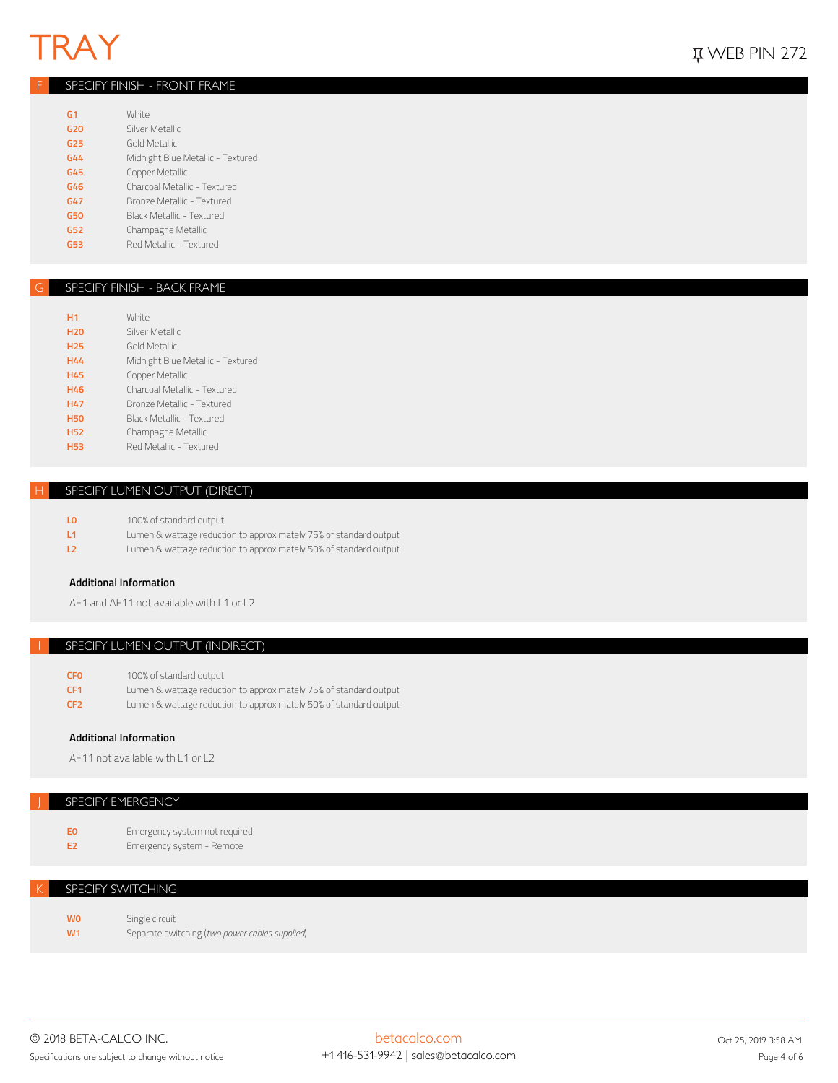## *F SPECIFY FINISH - FRONT FRAME*

| G <sub>1</sub> | White                             |
|----------------|-----------------------------------|
| G20            | Silver Metallic                   |
| G25            | Gold Metallic                     |
| G44            | Midnight Blue Metallic - Textured |
| G45            | Copper Metallic                   |
| G46            | Charcoal Metallic - Textured      |
| G47            | Bronze Metallic - Textured        |
| <b>G50</b>     | Black Metallic - Textured         |
| G52            | Champagne Metallic                |
| 653            | Red Metallic - Textured           |

#### *G SPECIFY FINISH - BACK FRAME*

| H <sub>1</sub>  | <b>White</b>                      |
|-----------------|-----------------------------------|
| <b>H20</b>      | Silver Metallic                   |
| H <sub>25</sub> | Gold Metallic                     |
| <b>H44</b>      | Midnight Blue Metallic - Textured |
| <b>H45</b>      | Copper Metallic                   |
| H46             | Charcoal Metallic - Textured      |
| H47             | Bronze Metallic - Textured        |
| <b>H50</b>      | Black Metallic - Textured         |
| <b>H52</b>      | Champagne Metallic                |
| <b>H53</b>      | Red Metallic - Textured           |
|                 |                                   |

## **SPECIFY LUMEN OUTPUT (DIRECT)**

| Lumen & wattage reduction to approximately 75% of standard output |
|-------------------------------------------------------------------|
| Lumen & wattage reduction to approximately 50% of standard output |
|                                                                   |

### **Additional Information**

AF1 and AF11 not available with L1 or L2

## *I SPECIFY LUMEN OUTPUT (INDIRECT)*

|  | 100% of standard output | <b>CFO</b> |
|--|-------------------------|------------|
|--|-------------------------|------------|

- **CF1** Lumen & wattage reduction to approximately 75% of standard output
- **CF2** Lumen & wattage reduction to approximately 50% of standard output

## **Additional Information**

AF11 not available with L1 or L2

### *J SPECIFY EMERGENCY*

| <b>FO</b> | Emergency system not required |
|-----------|-------------------------------|
|           |                               |

**E2** Emergency system - Remote

### **SPECIFY SWITCHING**

**WO** Single circuit<br> **W1** Separate swi **W1** Separate switching (*two power cables supplied*)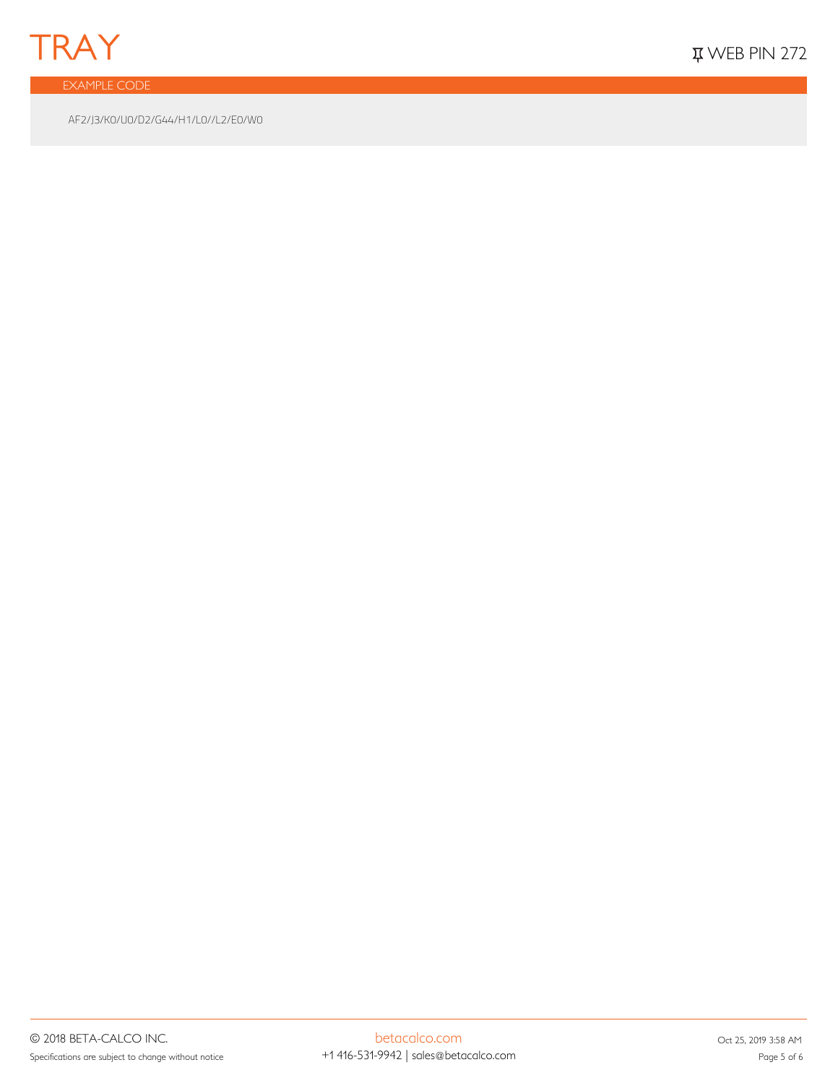

*EXAMPLE CODE*

AF2/J3/K0/U0/D2/G44/H1/L0//L2/E0/W0